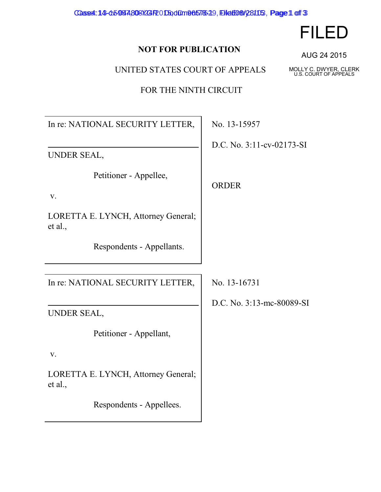Case4: 14-d5934, 908 X4P 0 Dod 0m 8657649, Elet 08 / 28105, Page 1 of 3

## **NOT FOR PUBLICATION**

UNITED STATES COURT OF APPEALS

FOR THE NINTH CIRCUIT

In re: NATIONAL SECURITY LETTER,

UNDER SEAL,

Petitioner - Appellee,

v.

LORETTA E. LYNCH, Attorney General; et al.,

Respondents - Appellants.

In re: NATIONAL SECURITY LETTER,

UNDER SEAL,

Petitioner - Appellant,

v.

LORETTA E. LYNCH, Attorney General; et al.,

Respondents - Appellees.

No. 13-15957

D.C. No. 3:11-cv-02173-SI

ORDER

No. 13-16731

D.C. No. 3:13-mc-80089-SI

AUG 24 2015

FILED

MOLLY C. DWYER, CLERK U.S. COURT OF APPEALS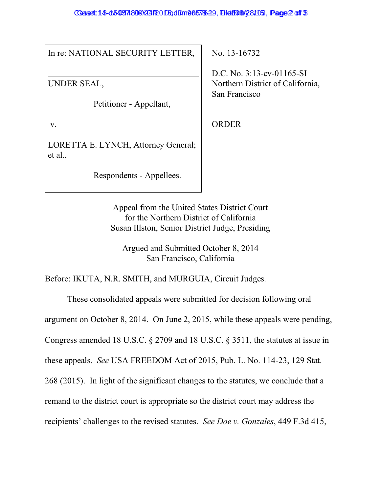## Case4: 14-05934, 808 X24 P O Dod 0m 8657639, Elet 08/28105, Page 2 of 3

In re: NATIONAL SECURITY LETTER,

UNDER SEAL,

Petitioner - Appellant,

v.

LORETTA E. LYNCH, Attorney General; et al.,

Respondents - Appellees.

No. 13-16732

D.C. No. 3:13-cv-01165-SI Northern District of California, San Francisco

ORDER

Appeal from the United States District Court for the Northern District of California Susan Illston, Senior District Judge, Presiding

Argued and Submitted October 8, 2014 San Francisco, California

Before: IKUTA, N.R. SMITH, and MURGUIA, Circuit Judges.

These consolidated appeals were submitted for decision following oral

argument on October 8, 2014. On June 2, 2015, while these appeals were pending,

Congress amended 18 U.S.C. § 2709 and 18 U.S.C. § 3511, the statutes at issue in

these appeals. *See* USA FREEDOM Act of 2015, Pub. L. No. 114-23, 129 Stat.

268 (2015). In light of the significant changes to the statutes, we conclude that a

remand to the district court is appropriate so the district court may address the

recipients' challenges to the revised statutes. *See Doe v. Gonzales*, 449 F.3d 415,